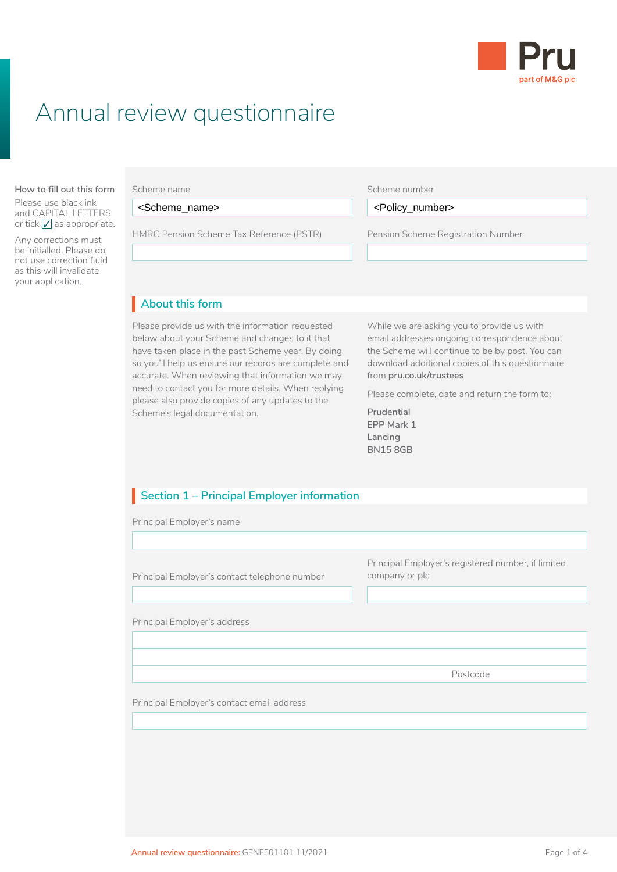

# Annual review questionnaire

#### **About this form How to fill out this form**

Please use black ink and CAPITAL LETTERS or tick  $\angle$  as appropriate.

Any corrections must be initialled. Please do not use correction fluid as this will invalidate your application.

Scheme (LGPS) application, you need to read: HMRC Pension Scheme Tax Reference (PSTR) Pension Scheme Registration Number

#### Scheme number

Before you fill in this Local Government Pension <Scheme\_name> <Policy\_number><Policy\_number>

Pension Scheme Registration Number

#### $\blacksquare$  About this form **About this form** I

Please provide us with the information requested **While we** a below about your Scheme and changes to it that have taken place in the past Scheme year. By doing so you'll help us ensure our records are complete and accurate. When reviewing that information we may need to contact you for more details. When replying please also provide copies of any updates to the Scheme's legal documentation.

While we are asking you to provide us with email addresses ongoing correspondence about the Scheme will continue to be by post. You can download additional copies of this questionnaire from **[pru.co.uk/trustees](https://www.pru.co.uk/trustees/)**

Please complete, date and return the form to:

**Prudential EPP Mark 1 Lancing BN15 8GB**

## **Section 1 – Principal Employer information**

Principal Employer's name

Principal Employer's contact telephone number Principal Employer's registered number, if limited company or plc Principal Employer's address Postcode Principal Employer's contact email address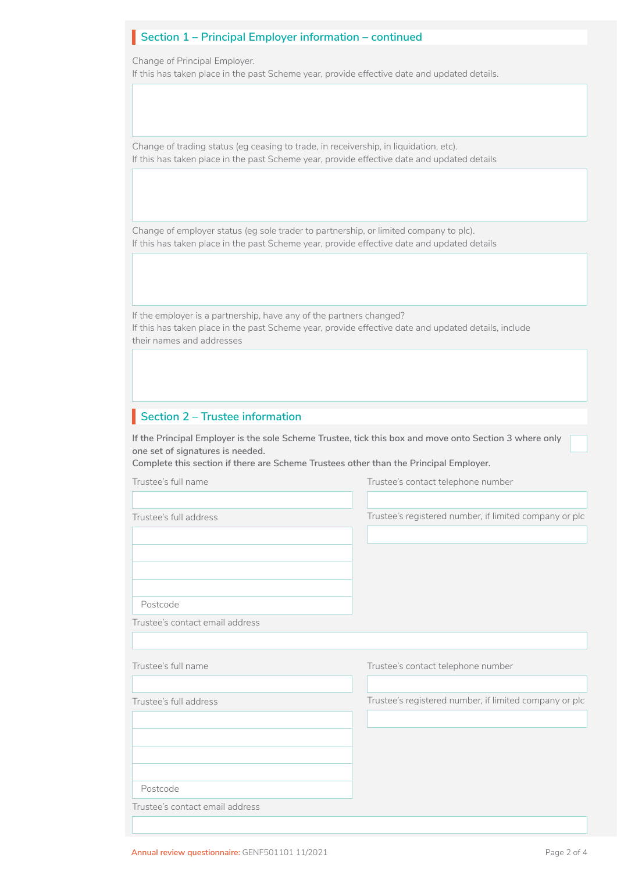## **Section 1 – Principal Employer information – continued**

Change of Principal Employer.

If this has taken place in the past Scheme year, provide effective date and updated details.

Change of trading status (eg ceasing to trade, in receivership, in liquidation, etc). If this has taken place in the past Scheme year, provide effective date and updated details

Change of employer status (eg sole trader to partnership, or limited company to plc). If this has taken place in the past Scheme year, provide effective date and updated details

If the employer is a partnership, have any of the partners changed? If this has taken place in the past Scheme year, provide effective date and updated details, include their names and addresses

## **Section 2 – Trustee information**

**If the Principal Employer is the sole Scheme Trustee, tick this box and move onto Section 3 where only one set of signatures is needed.**

**Complete this section if there are Scheme Trustees other than the Principal Employer.**

| Trustee's full name             | Trustee's contact telephone number                     |
|---------------------------------|--------------------------------------------------------|
|                                 |                                                        |
| Trustee's full address          | Trustee's registered number, if limited company or plc |
|                                 |                                                        |
|                                 |                                                        |
|                                 |                                                        |
|                                 |                                                        |
| Postcode                        |                                                        |
| Trustee's contact email address |                                                        |
|                                 |                                                        |
| Trustee's full name             | Trustee's contact telephone number                     |
|                                 |                                                        |
| Trustee's full address          | Trustee's registered number, if limited company or plc |
|                                 |                                                        |
|                                 |                                                        |
|                                 |                                                        |
|                                 |                                                        |
|                                 |                                                        |
| Postcode                        |                                                        |
| Trustee's contact email address |                                                        |
|                                 |                                                        |

□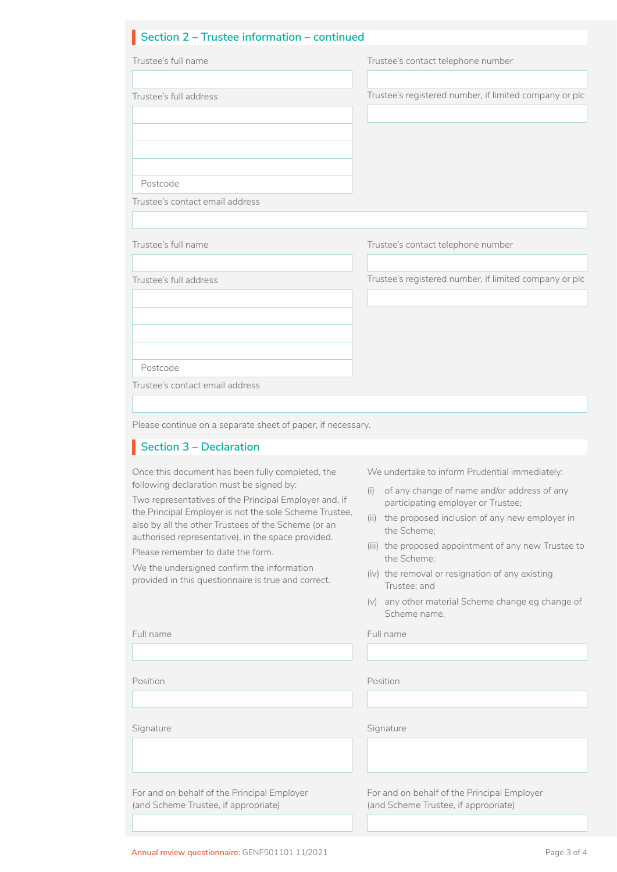## **Section 2 – Trustee information – continued** I

|                                                                                                                                                                                                                                                                                                                                                                                                                                                                                                                                                                                           | Trustee's contact telephone number                                                                                                                                                                                                                                                                                                                                                                                                |
|-------------------------------------------------------------------------------------------------------------------------------------------------------------------------------------------------------------------------------------------------------------------------------------------------------------------------------------------------------------------------------------------------------------------------------------------------------------------------------------------------------------------------------------------------------------------------------------------|-----------------------------------------------------------------------------------------------------------------------------------------------------------------------------------------------------------------------------------------------------------------------------------------------------------------------------------------------------------------------------------------------------------------------------------|
| Trustee's full address                                                                                                                                                                                                                                                                                                                                                                                                                                                                                                                                                                    | Trustee's registered number, if limited company or plc                                                                                                                                                                                                                                                                                                                                                                            |
| Postcode<br>Trustee's contact email address                                                                                                                                                                                                                                                                                                                                                                                                                                                                                                                                               |                                                                                                                                                                                                                                                                                                                                                                                                                                   |
| Trustee's full name                                                                                                                                                                                                                                                                                                                                                                                                                                                                                                                                                                       | Trustee's contact telephone number                                                                                                                                                                                                                                                                                                                                                                                                |
| Trustee's full address                                                                                                                                                                                                                                                                                                                                                                                                                                                                                                                                                                    | Trustee's registered number, if limited company or plc                                                                                                                                                                                                                                                                                                                                                                            |
| Postcode                                                                                                                                                                                                                                                                                                                                                                                                                                                                                                                                                                                  |                                                                                                                                                                                                                                                                                                                                                                                                                                   |
| Trustee's contact email address                                                                                                                                                                                                                                                                                                                                                                                                                                                                                                                                                           |                                                                                                                                                                                                                                                                                                                                                                                                                                   |
|                                                                                                                                                                                                                                                                                                                                                                                                                                                                                                                                                                                           |                                                                                                                                                                                                                                                                                                                                                                                                                                   |
|                                                                                                                                                                                                                                                                                                                                                                                                                                                                                                                                                                                           | We undertake to inform Prudential immediately:<br>of any change of name and/or address of any<br>(i)<br>participating employer or Trustee;<br>(ii) the proposed inclusion of any new employer in<br>the Scheme;<br>(iii) the proposed appointment of any new Trustee to<br>the Scheme;<br>(iv) the removal or resignation of any existing<br>Trustee; and<br>any other material Scheme change eg change of<br>(v)<br>Scheme name. |
|                                                                                                                                                                                                                                                                                                                                                                                                                                                                                                                                                                                           | Full name                                                                                                                                                                                                                                                                                                                                                                                                                         |
|                                                                                                                                                                                                                                                                                                                                                                                                                                                                                                                                                                                           |                                                                                                                                                                                                                                                                                                                                                                                                                                   |
| Please continue on a separate sheet of paper, if necessary.<br>Section 3 – Declaration<br>Once this document has been fully completed, the<br>following declaration must be signed by:<br>Two representatives of the Principal Employer and, if<br>the Principal Employer is not the sole Scheme Trustee,<br>also by all the other Trustees of the Scheme (or an<br>authorised representative), in the space provided.<br>Please remember to date the form.<br>We the undersigned confirm the information<br>provided in this questionnaire is true and correct.<br>Full name<br>Position | Position                                                                                                                                                                                                                                                                                                                                                                                                                          |

For and on behalf of the Principal Employer (and Scheme Trustee, if appropriate)

For and on behalf of the Principal Employer (and Scheme Trustee, if appropriate)